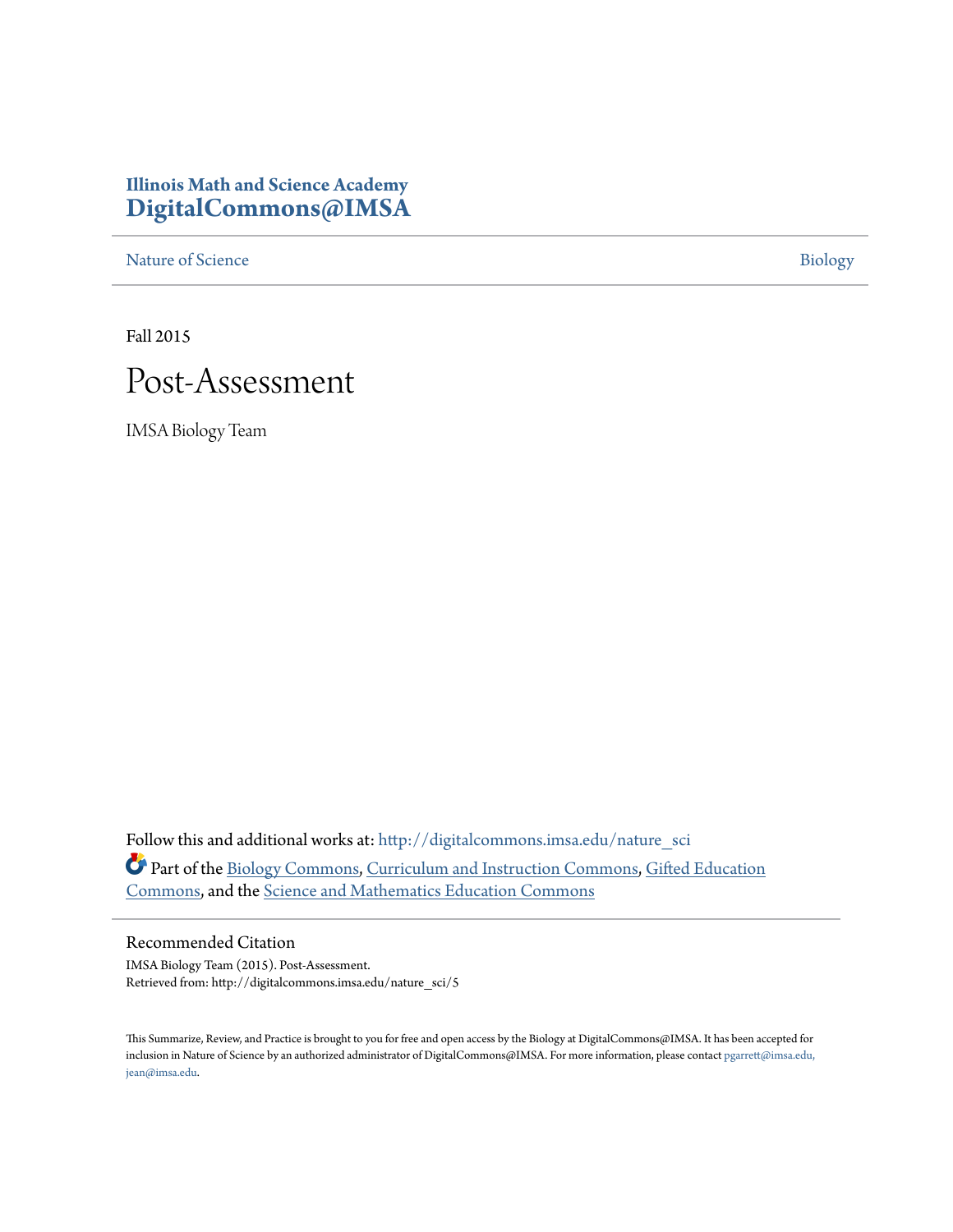## **Illinois Math and Science Academy [DigitalCommons@IMSA](http://digitalcommons.imsa.edu?utm_source=digitalcommons.imsa.edu%2Fnature_sci%2F5&utm_medium=PDF&utm_campaign=PDFCoverPages)**

[Nature of Science](http://digitalcommons.imsa.edu/nature_sci?utm_source=digitalcommons.imsa.edu%2Fnature_sci%2F5&utm_medium=PDF&utm_campaign=PDFCoverPages) [Biology](http://digitalcommons.imsa.edu/biology_tr?utm_source=digitalcommons.imsa.edu%2Fnature_sci%2F5&utm_medium=PDF&utm_campaign=PDFCoverPages)

Fall 2015

## Post-Assessment

IMSA Biology Team

Follow this and additional works at: [http://digitalcommons.imsa.edu/nature\\_sci](http://digitalcommons.imsa.edu/nature_sci?utm_source=digitalcommons.imsa.edu%2Fnature_sci%2F5&utm_medium=PDF&utm_campaign=PDFCoverPages) Part of the [Biology Commons,](http://network.bepress.com/hgg/discipline/41?utm_source=digitalcommons.imsa.edu%2Fnature_sci%2F5&utm_medium=PDF&utm_campaign=PDFCoverPages) [Curriculum and Instruction Commons](http://network.bepress.com/hgg/discipline/786?utm_source=digitalcommons.imsa.edu%2Fnature_sci%2F5&utm_medium=PDF&utm_campaign=PDFCoverPages), [Gifted Education](http://network.bepress.com/hgg/discipline/1048?utm_source=digitalcommons.imsa.edu%2Fnature_sci%2F5&utm_medium=PDF&utm_campaign=PDFCoverPages) [Commons,](http://network.bepress.com/hgg/discipline/1048?utm_source=digitalcommons.imsa.edu%2Fnature_sci%2F5&utm_medium=PDF&utm_campaign=PDFCoverPages) and the [Science and Mathematics Education Commons](http://network.bepress.com/hgg/discipline/800?utm_source=digitalcommons.imsa.edu%2Fnature_sci%2F5&utm_medium=PDF&utm_campaign=PDFCoverPages)

## Recommended Citation

IMSA Biology Team (2015). Post-Assessment. Retrieved from: http://digitalcommons.imsa.edu/nature\_sci/5

This Summarize, Review, and Practice is brought to you for free and open access by the Biology at DigitalCommons@IMSA. It has been accepted for inclusion in Nature of Science by an authorized administrator of DigitalCommons@IMSA. For more information, please contact [pgarrett@imsa.edu,](mailto:pgarrett@imsa.edu,%20jean@imsa.edu) [jean@imsa.edu.](mailto:pgarrett@imsa.edu,%20jean@imsa.edu)